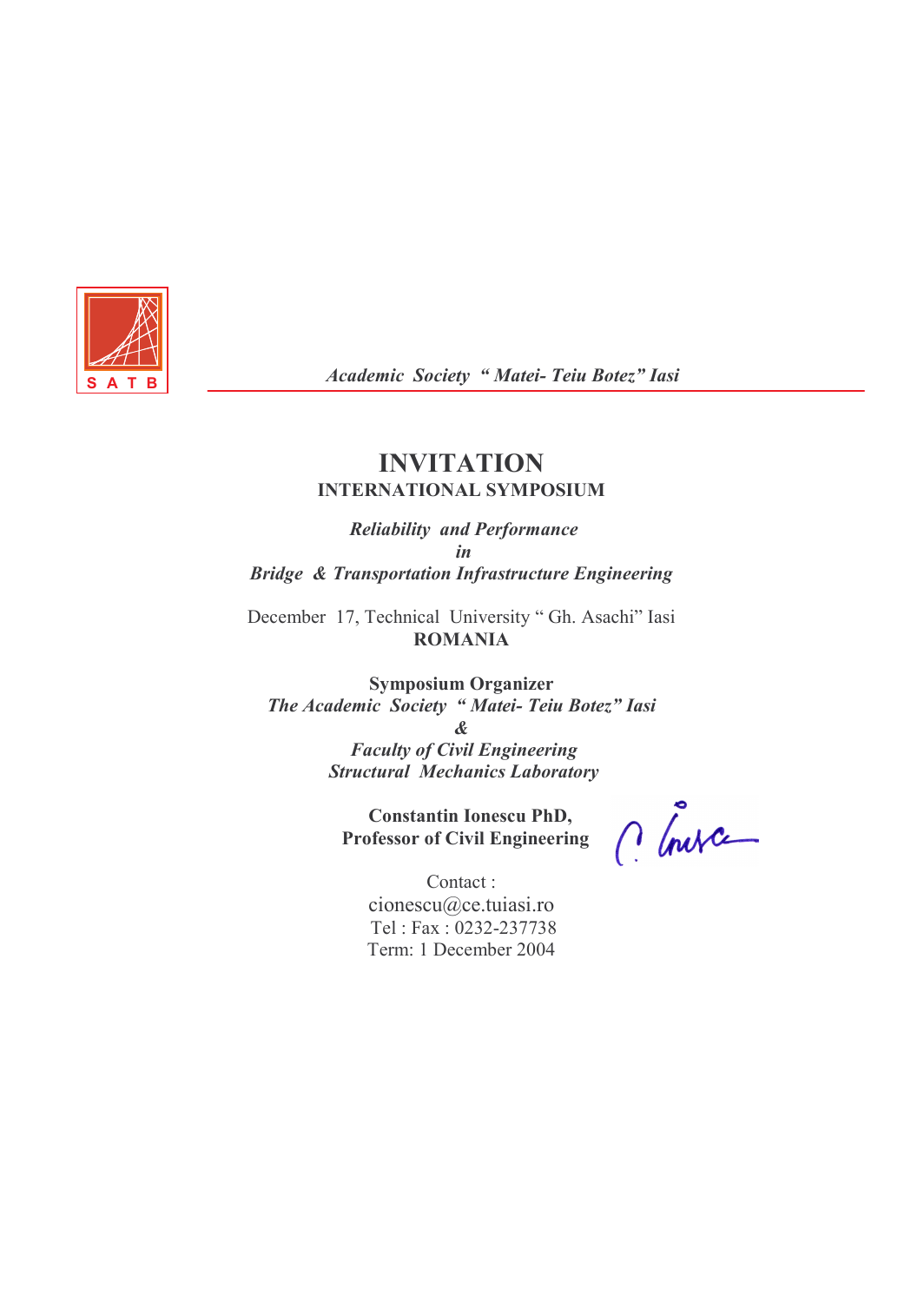

Academic Society " Matei- Teiu Botez" Iasi

#### INVITATION INTERNATIONAL SYMPOSIUM

 Reliability and Performance in Bridge & Transportation Infrastructure Engineering

December 17, Technical University " Gh. Asachi" Iasi ROMANIA

Symposium Organizer The Academic Society " Matei- Teiu Botez" Iasi & Faculty of Civil Engineering

Structural Mechanics Laboratory

 Constantin Ionescu PhD, Professor of Civil Engineering

C Inva

Contact : cionescu@ce.tuiasi.ro Tel : Fax : 0232-237738 Term: 1 December 2004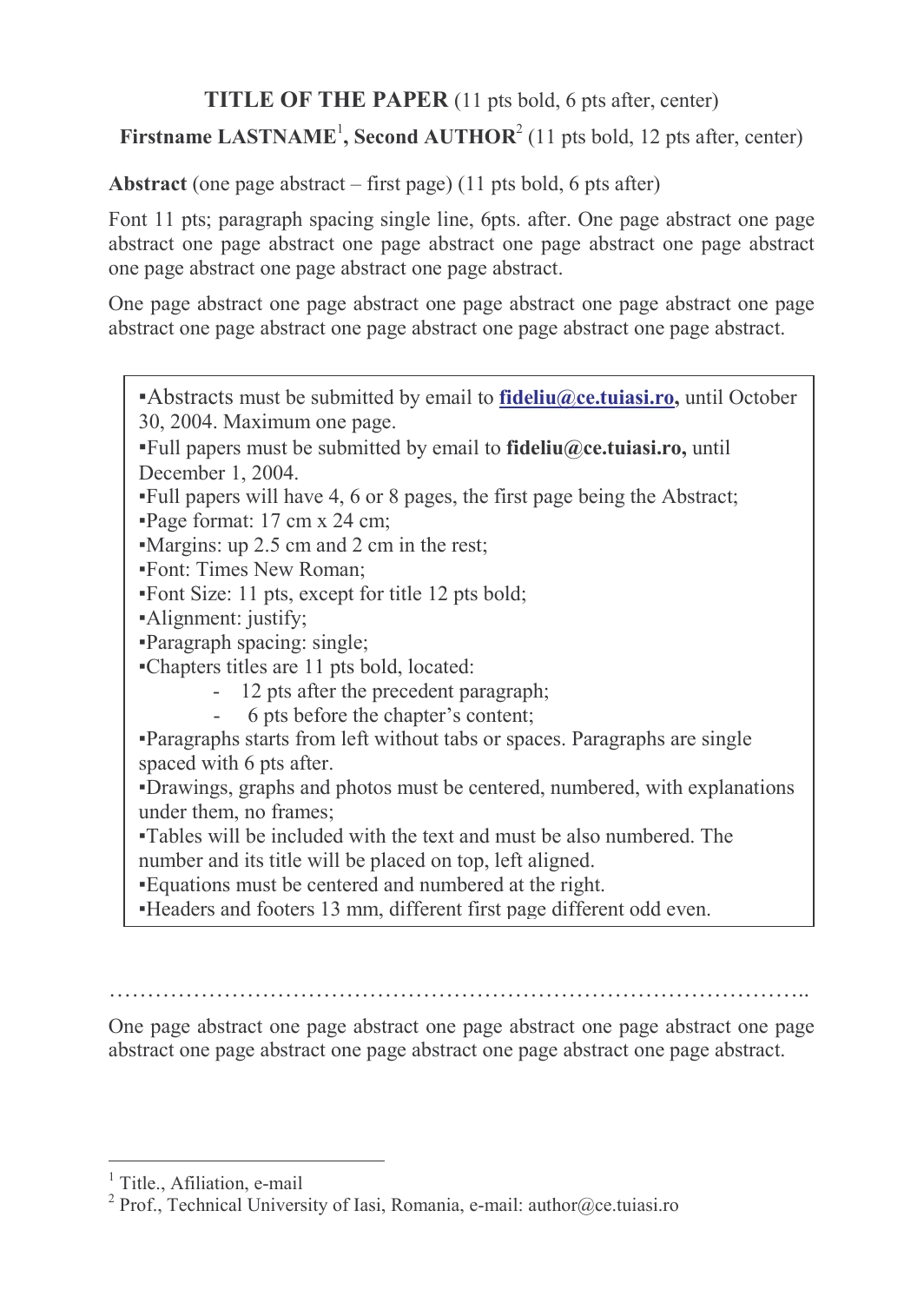# TITLE OF THE PAPER (11 pts bold, 6 pts after, center)

# Firstname LASTNAME<sup>1</sup>, Second AUTHOR<sup>2</sup> (11 pts bold, 12 pts after, center)

Abstract (one page abstract – first page) (11 pts bold, 6 pts after)

Font 11 pts; paragraph spacing single line, 6pts. after. One page abstract one page abstract one page abstract one page abstract one page abstract one page abstract one page abstract one page abstract one page abstract.

One page abstract one page abstract one page abstract one page abstract one page abstract one page abstract one page abstract one page abstract one page abstract.

- $\blacktriangle$ Abstracts must be submitted by email to **fideliu@ce.tuiasi.ro**, until October 30, 2004. Maximum one page.
- $\text{Full papers must be submitted by email to fideliu@ce.tuiasiiro, until}$ December 1, 2004.
- ▪Full papers will have 4, 6 or 8 pages, the first page being the Abstract;
- ▪Page format: 17 cm x 24 cm;
- ▪Margins: up 2.5 cm and 2 cm in the rest;
- ▪Font: Times New Roman;
- ▪Font Size: 11 pts, except for title 12 pts bold;
- ▪Alignment: justify;
- ▪Paragraph spacing: single;
- ▪Chapters titles are 11 pts bold, located:
	- 12 pts after the precedent paragraph;<br>- 6 pts before the chanter's content
	- 6 pts before the chapter's content;
- ▪Paragraphs starts from left without tabs or spaces. Paragraphs are single spaced with 6 pts after.
- ▪Drawings, graphs and photos must be centered, numbered, with explanations under them, no frames;
- ▪Tables will be included with the text and must be also numbered. The number and its title will be placed on top, left aligned.
- ▪Equations must be centered and numbered at the right.
- ▪Headers and footers 13 mm, different first page different odd even.

………………………………………………………………………………..

One page abstract one page abstract one page abstract one page abstract one page abstract one page abstract one page abstract one page abstract one page abstract.

<sup>&</sup>lt;sup>1</sup> Title., Afiliation, e-mail

<sup>&</sup>lt;sup>2</sup> Prof., Technical University of Iasi, Romania, e-mail: author@ce.tuiasi.ro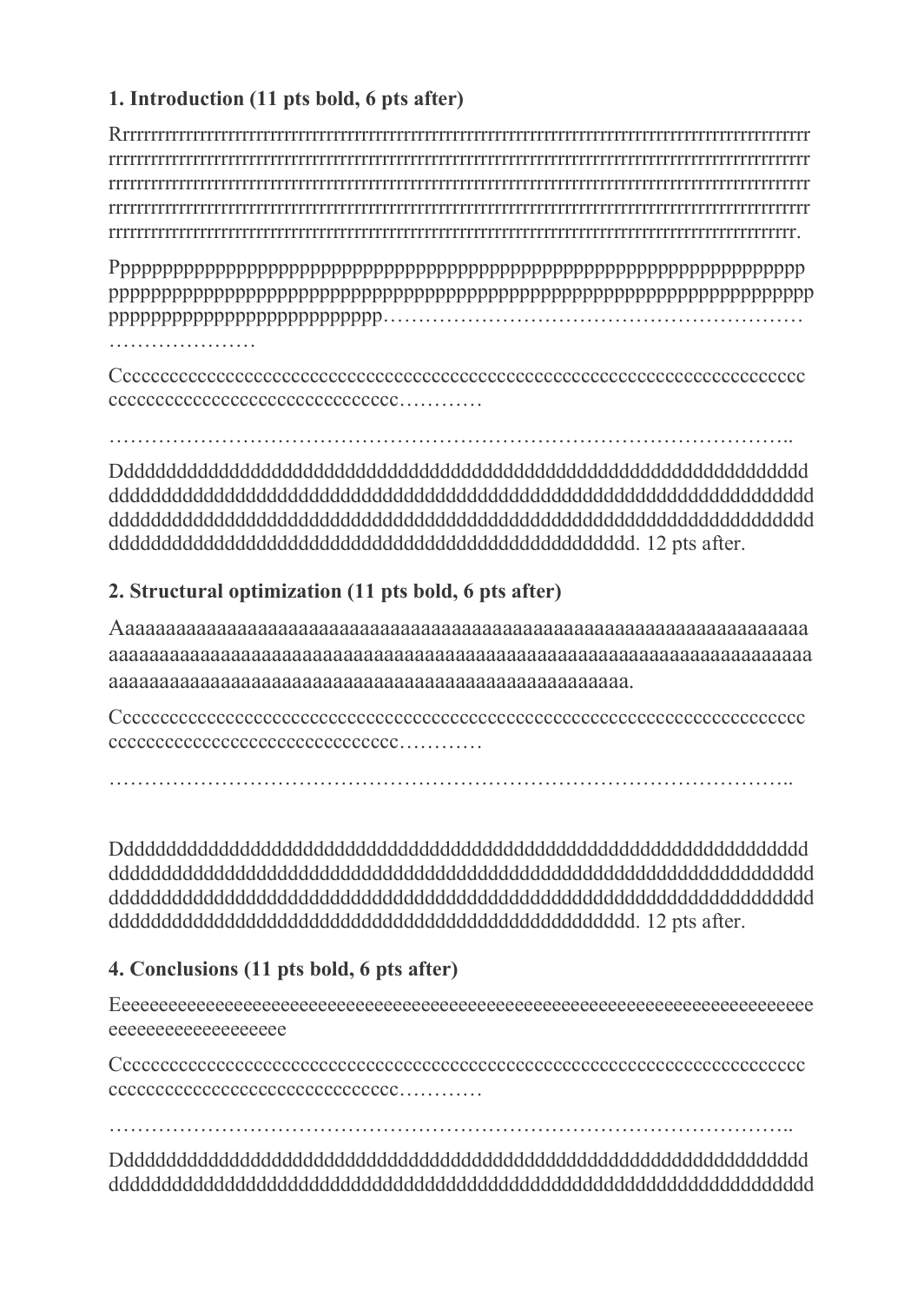## 1. Introduction (11 pts bold, 6 pts after)

Rrrrrrrrrrrrrrrrrrrrrrrrrrrrrrrrrrrrrrrrrrrrrrrrrrrrrrrrrrrrrrrrrrrrrrrrrrrrrrrrrrrrrrrrrrrrrrrrrrr rrrrrrrrrrrrrrrrrrrrrrrrrrrrrrrrrrrrrrrrrrrrrrrrrrrrrrrrrrrrrrrrrrrrrrrrrrrrrrrrrrrrrrrrrrrrrrrrrrrr rrrrrrrrrrrrrrrrrrrrrrrrrrrrrrrrrrrrrrrrrrrrrrrrrrrrrrrrrrrrrrrrrrrrrrrrrrrrrrrrrrrrrrrrrrrrrrrrrrrr rrrrrrrrrrrrrrrrrrrrrrrrrrrrrrrrrrrrrrrrrrrrrrrrrrrrrrrrrrrrrrrrrrrrrrrrrrrrrrrrrrrrrrrrrrrrrrrrrrrr rrrrrrrrrrrrrrrrrrrrrrrrrrrrrrrrrrrrrrrrrrrrrrrrrrrrrrrrrrrrrrrrrrrrrrrrrrrrrrrrrrrrrrrrrrrrrrrrrr.

Pppppppppppppppppppppppppppppppppppppppppppppppppppppppppppppppppp ppppppppppppppppppppppppppppppppppppppppppppppppppppppppppppppppppp pppppppppppppppppppppppppp……………………………………………………

…………………

Cccccccccccccccccccccccccccccccccccccccccccccccccccccccccccccccccccccccccc ccccccccccccccccccccccccccccccc…………

……………………………………………………………………………………..

Dddddddddddddddddddddddddddddddddddddddddddddddddddddddddddddddddd ddddddddddddddddddddddddddddddddddddddddddddddddddddddddddddddddddd ddddddddddddddddddddddddddddddddddddddddddddddddddddddddddddddddddd dddddddddddddddddddddddddddddddddddddddddddddddddd. 12 pts after.

### 2. Structural optimization (11 pts bold, 6 pts after)

Aaaaaaaaaaaaaaaaaaaaaaaaaaaaaaaaaaaaaaaaaaaaaaaaaaaaaaaaaaaaaaaaaaaa aaaaaaaaaaaaaaaaaaaaaaaaaaaaaaaaaaaaaaaaaaaaaaaaaaaaaaaaaaaaaaaaaaaaa aaaaaaaaaaaaaaaaaaaaaaaaaaaaaaaaaaaaaaaaaaaaaaaaaaa.

Cccccccccccccccccccccccccccccccccccccccccccccccccccccccccccccccccccccccccc ccccccccccccccccccccccccccccccc…………

……………………………………………………………………………………..

Dddddddddddddddddddddddddddddddddddddddddddddddddddddddddddddddddd ddddddddddddddddddddddddddddddddddddddddddddddddddddddddddddddddddd ddddddddddddddddddddddddddddddddddddddddddddddddddddddddddddddddddd dddddddddddddddddddddddddddddddddddddddddddddddddd. 12 pts after.

## 4. Conclusions (11 pts bold, 6 pts after)

Eeeeeeeeeeeeeeeeeeeeeeeeeeeeeeeeeeeeeeeeeeeeeeeeeeeeeeeeeeeeeeeeeeeeeeeeeee eeeeeeeeeeeeeeeeeee

Cccccccccccccccccccccccccccccccccccccccccccccccccccccccccccccccccccccccccc ccccccccccccccccccccccccccccccc…………

……………………………………………………………………………………..

Dddddddddddddddddddddddddddddddddddddddddddddddddddddddddddddddddd ddddddddddddddddddddddddddddddddddddddddddddddddddddddddddddddddddd